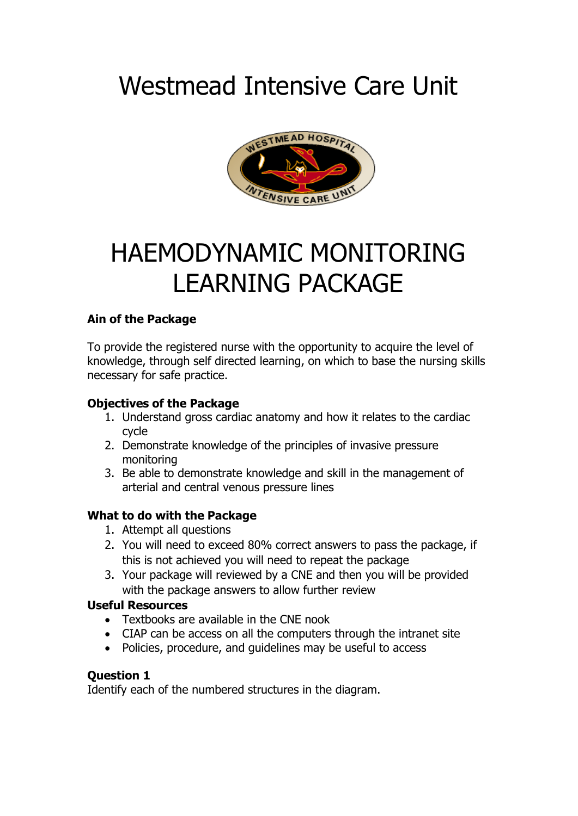# Westmead Intensive Care Unit



# HAEMODYNAMIC MONITORING LEARNING PACKAGE

# **Ain of the Package**

To provide the registered nurse with the opportunity to acquire the level of knowledge, through self directed learning, on which to base the nursing skills necessary for safe practice.

# **Objectives of the Package**

- 1. Understand gross cardiac anatomy and how it relates to the cardiac cycle
- 2. Demonstrate knowledge of the principles of invasive pressure monitoring
- 3. Be able to demonstrate knowledge and skill in the management of arterial and central venous pressure lines

# **What to do with the Package**

- 1. Attempt all questions
- 2. You will need to exceed 80% correct answers to pass the package, if this is not achieved you will need to repeat the package
- 3. Your package will reviewed by a CNE and then you will be provided with the package answers to allow further review

# **Useful Resources**

- Textbooks are available in the CNE nook
- CIAP can be access on all the computers through the intranet site
- Policies, procedure, and guidelines may be useful to access

# **Question 1**

Identify each of the numbered structures in the diagram.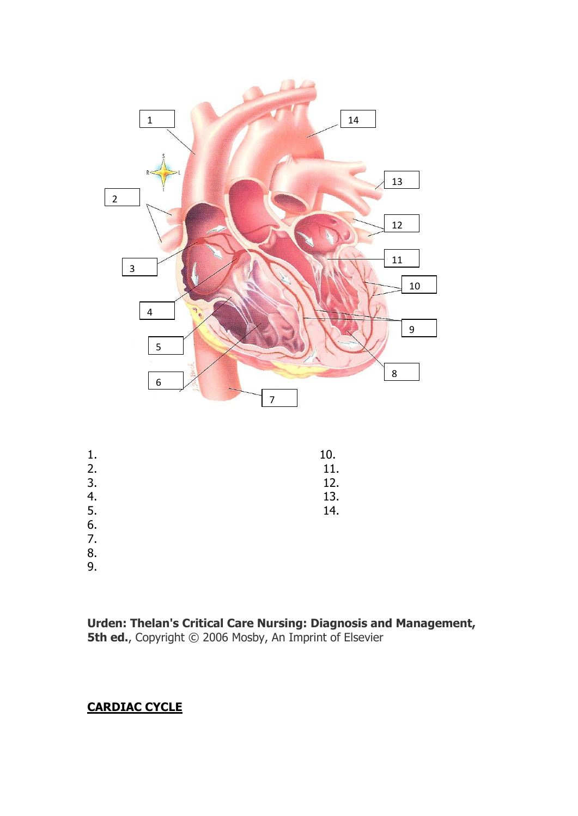

| 1. | 10. |
|----|-----|
| 2. | 11. |
| 3. | 12. |
| 4. | 13. |
| 5. | 14. |
| 6. |     |

- 7.
- 8.
- 9.

**Urden: Thelan's Critical Care Nursing: Diagnosis and Management, 5th ed.**, Copyright © 2006 Mosby, An Imprint of Elsevier

# **CARDIAC CYCLE**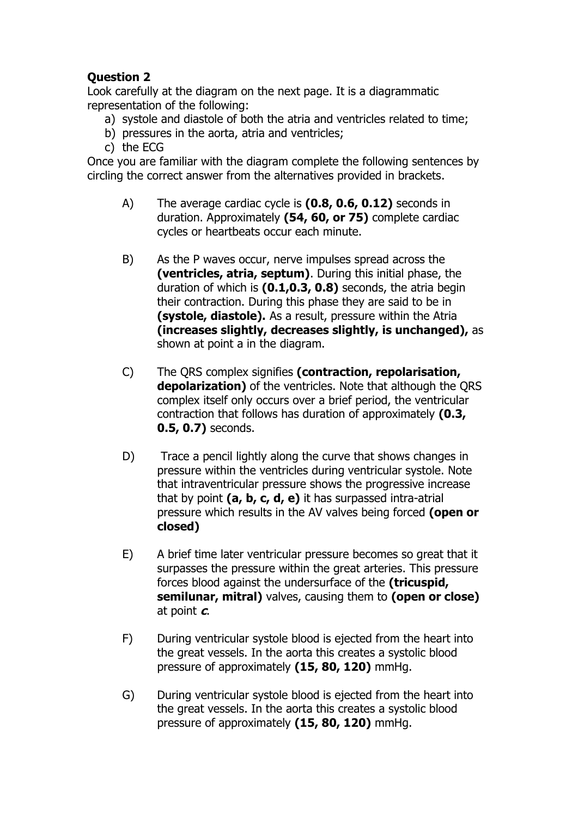Look carefully at the diagram on the next page. It is a diagrammatic representation of the following:

- a) systole and diastole of both the atria and ventricles related to time;
- b) pressures in the aorta, atria and ventricles;
- c) the ECG

Once you are familiar with the diagram complete the following sentences by circling the correct answer from the alternatives provided in brackets.

- A) The average cardiac cycle is **(0.8, 0.6, 0.12)** seconds in duration. Approximately **(54, 60, or 75)** complete cardiac cycles or heartbeats occur each minute.
- B) As the P waves occur, nerve impulses spread across the **(ventricles, atria, septum)**. During this initial phase, the duration of which is **(0.1,0.3, 0.8)** seconds, the atria begin their contraction. During this phase they are said to be in **(systole, diastole).** As a result, pressure within the Atria **(increases slightly, decreases slightly, is unchanged),** as shown at point a in the diagram.
- C) The QRS complex signifies **(contraction, repolarisation, depolarization)** of the ventricles. Note that although the QRS complex itself only occurs over a brief period, the ventricular contraction that follows has duration of approximately **(0.3, 0.5, 0.7)** seconds.
- D) Trace a pencil lightly along the curve that shows changes in pressure within the ventricles during ventricular systole. Note that intraventricular pressure shows the progressive increase that by point **(a, b, c, d, e)** it has surpassed intra-atrial pressure which results in the AV valves being forced **(open or closed)**
- E) A brief time later ventricular pressure becomes so great that it surpasses the pressure within the great arteries. This pressure forces blood against the undersurface of the **(tricuspid, semilunar, mitral)** valves, causing them to **(open or close)** at point **c**.
- F) During ventricular systole blood is ejected from the heart into the great vessels. In the aorta this creates a systolic blood pressure of approximately **(15, 80, 120)** mmHg.
- G) During ventricular systole blood is ejected from the heart into the great vessels. In the aorta this creates a systolic blood pressure of approximately **(15, 80, 120)** mmHg.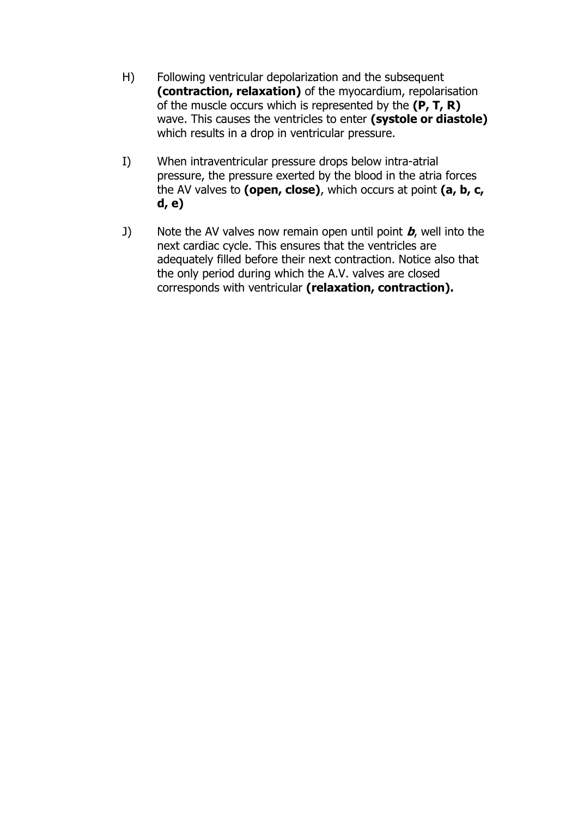- H) Following ventricular depolarization and the subsequent **(contraction, relaxation)** of the myocardium, repolarisation of the muscle occurs which is represented by the **(P, T, R)** wave. This causes the ventricles to enter **(systole or diastole)** which results in a drop in ventricular pressure.
- I) When intraventricular pressure drops below intra-atrial pressure, the pressure exerted by the blood in the atria forces the AV valves to **(open, close)**, which occurs at point **(a, b, c, d, e)**
- J) Note the AV valves now remain open until point **b**, well into the next cardiac cycle. This ensures that the ventricles are adequately filled before their next contraction. Notice also that the only period during which the A.V. valves are closed corresponds with ventricular **(relaxation, contraction).**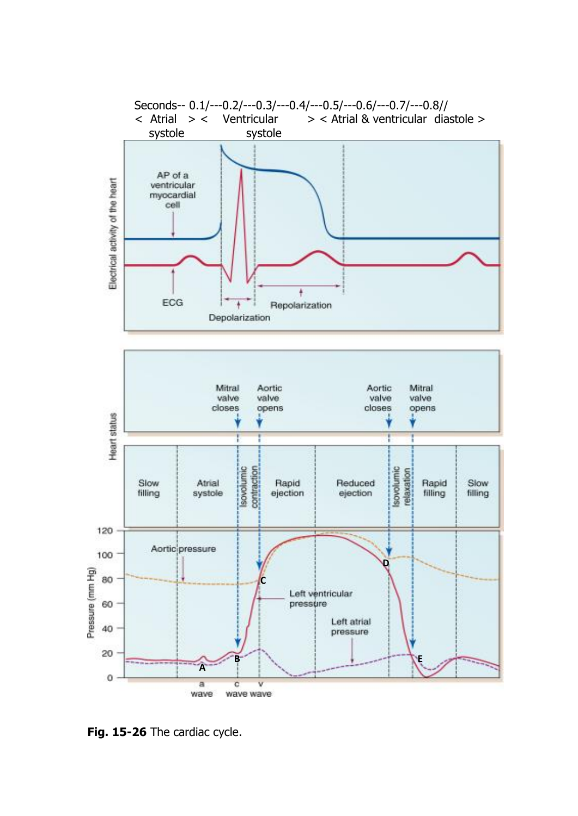

**Fig. 15-26** The cardiac cycle.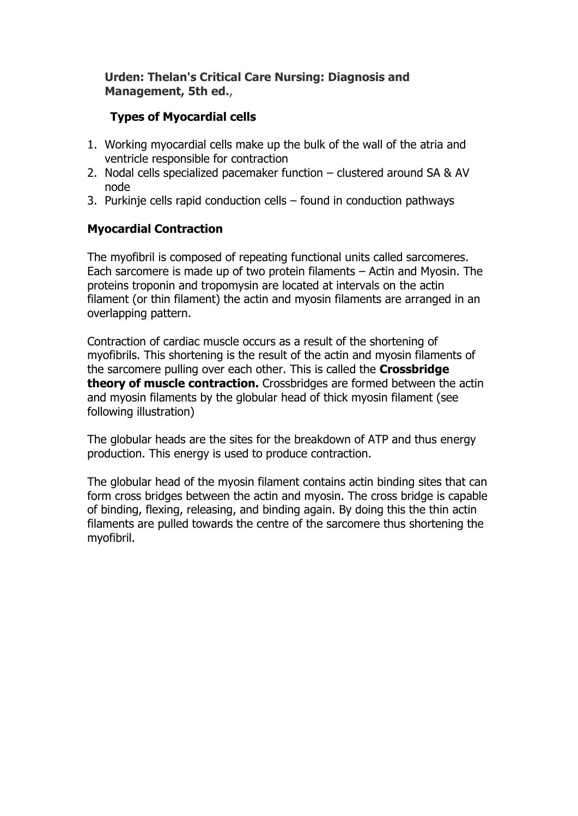# **Urden: Thelan's Critical Care Nursing: Diagnosis and Management, 5th ed.**,

# **Types of Myocardial cells**

- 1. Working myocardial cells make up the bulk of the wall of the atria and ventricle responsible for contraction
- 2. Nodal cells specialized pacemaker function clustered around SA & AV node
- 3. Purkinje cells rapid conduction cells found in conduction pathways

# **Myocardial Contraction**

The myofibril is composed of repeating functional units called sarcomeres. Each sarcomere is made up of two protein filaments – Actin and Myosin. The proteins troponin and tropomysin are located at intervals on the actin filament (or thin filament) the actin and myosin filaments are arranged in an overlapping pattern.

Contraction of cardiac muscle occurs as a result of the shortening of myofibrils. This shortening is the result of the actin and myosin filaments of the sarcomere pulling over each other. This is called the **Crossbridge theory of muscle contraction.** Crossbridges are formed between the actin and myosin filaments by the globular head of thick myosin filament (see following illustration)

The globular heads are the sites for the breakdown of ATP and thus energy production. This energy is used to produce contraction.

The globular head of the myosin filament contains actin binding sites that can form cross bridges between the actin and myosin. The cross bridge is capable of binding, flexing, releasing, and binding again. By doing this the thin actin filaments are pulled towards the centre of the sarcomere thus shortening the myofibril.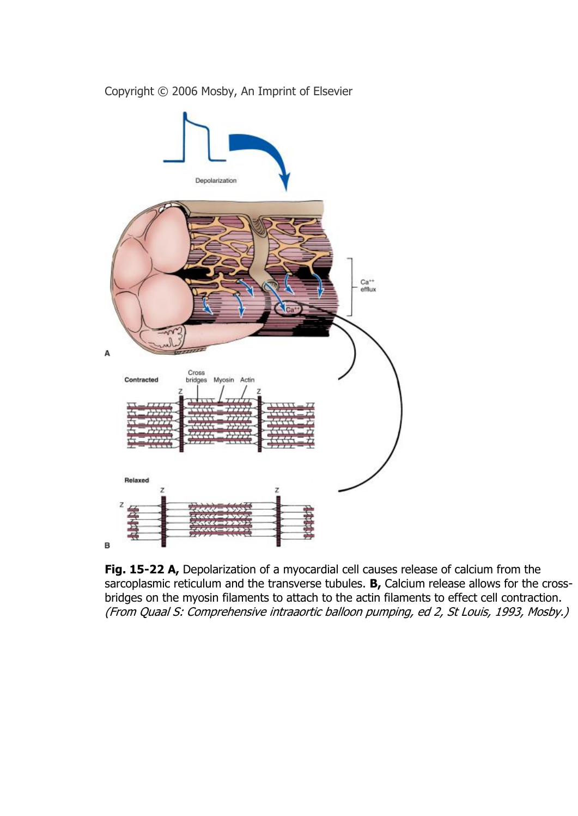

Copyright © 2006 Mosby, An Imprint of Elsevier

**Fig. 15-22 A,** Depolarization of a myocardial cell causes release of calcium from the sarcoplasmic reticulum and the transverse tubules. **B,** Calcium release allows for the crossbridges on the myosin filaments to attach to the actin filaments to effect cell contraction. (From Quaal S: Comprehensive intraaortic balloon pumping, ed 2, St Louis, 1993, Mosby.)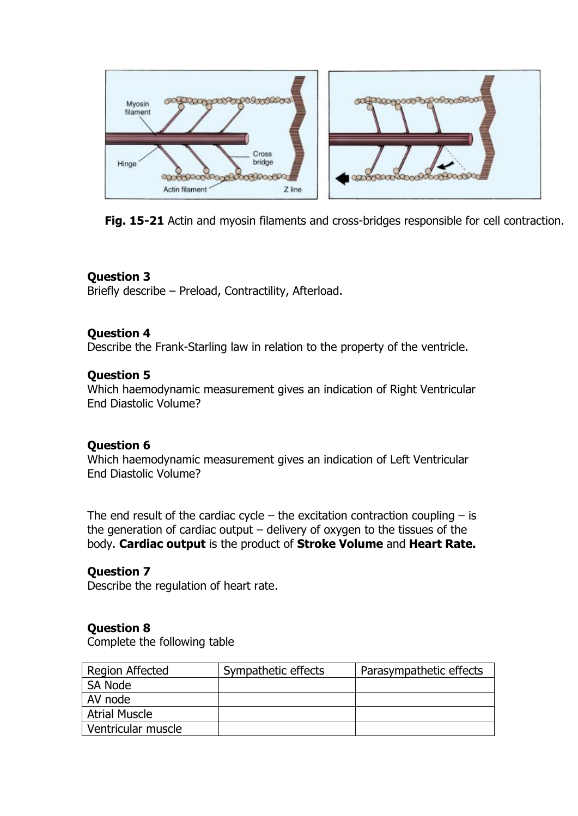

**Fig. 15-21** Actin and myosin filaments and cross-bridges responsible for cell contraction.

Briefly describe – Preload, Contractility, Afterload.

# **Question 4**

Describe the Frank-Starling law in relation to the property of the ventricle.

# **Question 5**

Which haemodynamic measurement gives an indication of Right Ventricular End Diastolic Volume?

# **Question 6**

Which haemodynamic measurement gives an indication of Left Ventricular End Diastolic Volume?

The end result of the cardiac cycle – the excitation contraction coupling  $-$  is the generation of cardiac output – delivery of oxygen to the tissues of the body. **Cardiac output** is the product of **Stroke Volume** and **Heart Rate.**

# **Question 7**

Describe the regulation of heart rate.

# **Question 8**

Complete the following table

| Region Affected      | Sympathetic effects | Parasympathetic effects |
|----------------------|---------------------|-------------------------|
| SA Node              |                     |                         |
| AV node              |                     |                         |
| <b>Atrial Muscle</b> |                     |                         |
| Ventricular muscle   |                     |                         |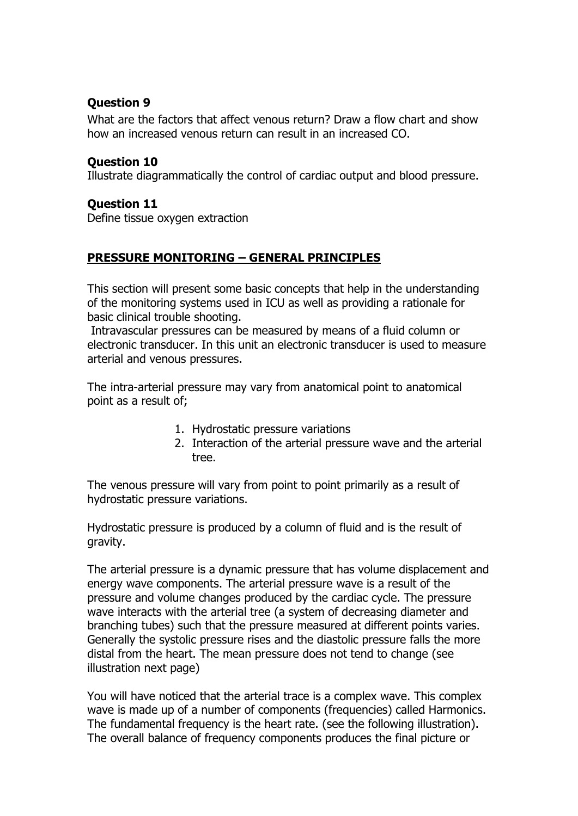What are the factors that affect venous return? Draw a flow chart and show how an increased venous return can result in an increased CO.

## **Question 10**

Illustrate diagrammatically the control of cardiac output and blood pressure.

### **Question 11**

Define tissue oxygen extraction

# **PRESSURE MONITORING – GENERAL PRINCIPLES**

This section will present some basic concepts that help in the understanding of the monitoring systems used in ICU as well as providing a rationale for basic clinical trouble shooting.

Intravascular pressures can be measured by means of a fluid column or electronic transducer. In this unit an electronic transducer is used to measure arterial and venous pressures.

The intra-arterial pressure may vary from anatomical point to anatomical point as a result of;

- 1. Hydrostatic pressure variations
- 2. Interaction of the arterial pressure wave and the arterial tree.

The venous pressure will vary from point to point primarily as a result of hydrostatic pressure variations.

Hydrostatic pressure is produced by a column of fluid and is the result of gravity.

The arterial pressure is a dynamic pressure that has volume displacement and energy wave components. The arterial pressure wave is a result of the pressure and volume changes produced by the cardiac cycle. The pressure wave interacts with the arterial tree (a system of decreasing diameter and branching tubes) such that the pressure measured at different points varies. Generally the systolic pressure rises and the diastolic pressure falls the more distal from the heart. The mean pressure does not tend to change (see illustration next page)

You will have noticed that the arterial trace is a complex wave. This complex wave is made up of a number of components (frequencies) called Harmonics. The fundamental frequency is the heart rate. (see the following illustration). The overall balance of frequency components produces the final picture or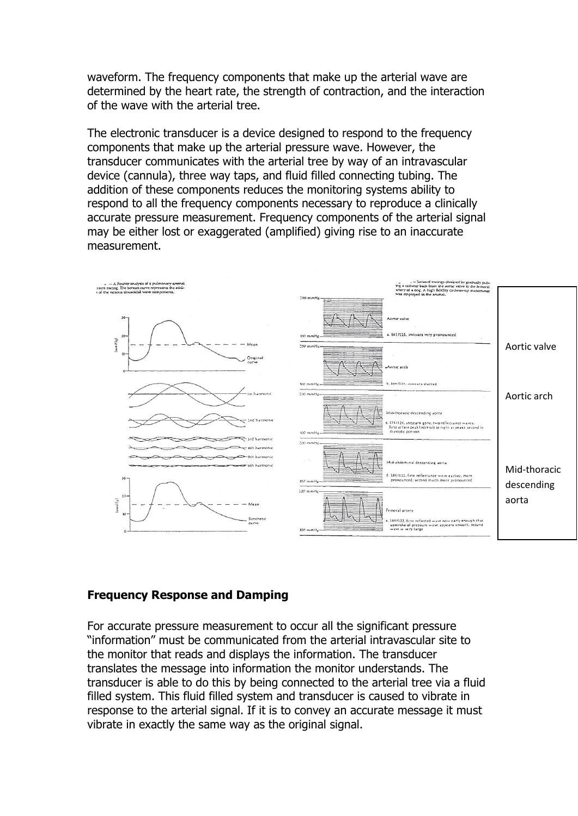waveform. The frequency components that make up the arterial wave are determined by the heart rate, the strength of contraction, and the interaction of the wave with the arterial tree.

The electronic transducer is a device designed to respond to the frequency components that make up the arterial pressure wave. However, the transducer communicates with the arterial tree by way of an intravascular device (cannula), three way taps, and fluid filled connecting tubing. The addition of these components reduces the monitoring systems ability to respond to all the frequency components necessary to reproduce a clinically accurate pressure measurement. Frequency components of the arterial signal may be either lost or exaggerated (amplified) giving rise to an inaccurate measurement.



#### **Frequency Response and Damping**

For accurate pressure measurement to occur all the significant pressure "information" must be communicated from the arterial intravascular site to the monitor that reads and displays the information. The transducer translates the message into information the monitor understands. The transducer is able to do this by being connected to the arterial tree via a fluid filled system. This fluid filled system and transducer is caused to vibrate in response to the arterial signal. If it is to convey an accurate message it must vibrate in exactly the same way as the original signal.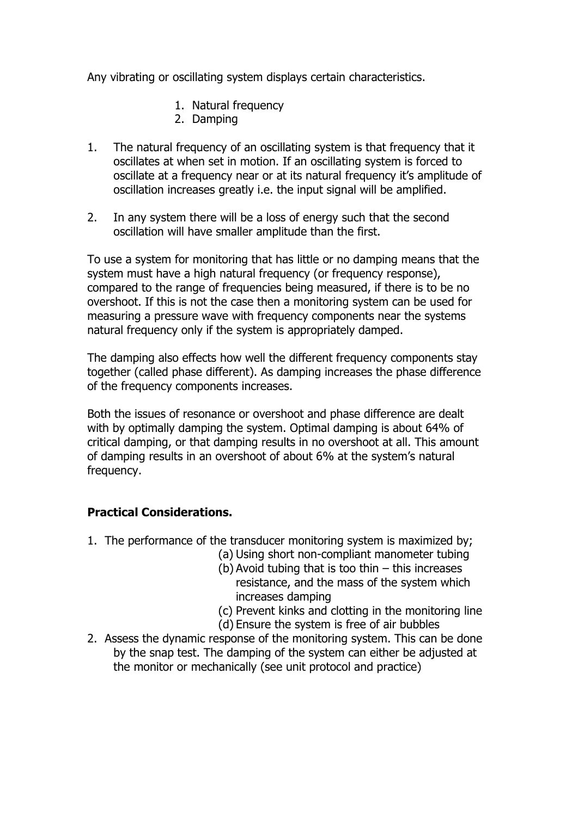Any vibrating or oscillating system displays certain characteristics.

- 1. Natural frequency
- 2. Damping
- 1. The natural frequency of an oscillating system is that frequency that it oscillates at when set in motion. If an oscillating system is forced to oscillate at a frequency near or at its natural frequency it's amplitude of oscillation increases greatly i.e. the input signal will be amplified.
- 2. In any system there will be a loss of energy such that the second oscillation will have smaller amplitude than the first.

To use a system for monitoring that has little or no damping means that the system must have a high natural frequency (or frequency response), compared to the range of frequencies being measured, if there is to be no overshoot. If this is not the case then a monitoring system can be used for measuring a pressure wave with frequency components near the systems natural frequency only if the system is appropriately damped.

The damping also effects how well the different frequency components stay together (called phase different). As damping increases the phase difference of the frequency components increases.

Both the issues of resonance or overshoot and phase difference are dealt with by optimally damping the system. Optimal damping is about 64% of critical damping, or that damping results in no overshoot at all. This amount of damping results in an overshoot of about 6% at the system's natural frequency.

# **Practical Considerations.**

- 1. The performance of the transducer monitoring system is maximized by;
	- (a) Using short non-compliant manometer tubing
		- (b) Avoid tubing that is too thin this increases resistance, and the mass of the system which increases damping
		- (c) Prevent kinks and clotting in the monitoring line
	- (d) Ensure the system is free of air bubbles
- 2. Assess the dynamic response of the monitoring system. This can be done by the snap test. The damping of the system can either be adjusted at the monitor or mechanically (see unit protocol and practice)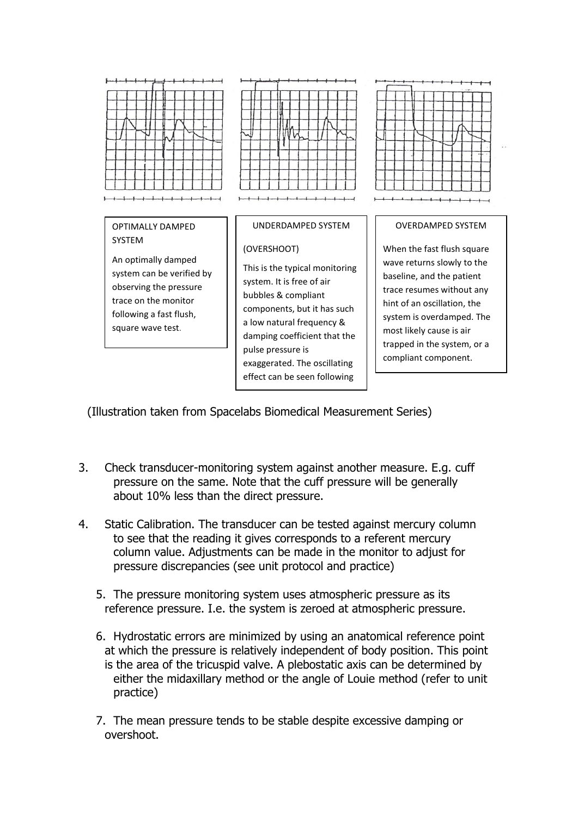

(Illustration taken from Spacelabs Biomedical Measurement Series) abs biomedican in

- 3. Check transducer-monitoring system against another measure. E.g. cuff pressure on the same. Note that the cuff pressure will be generally about 10% less than the direct pressure.
- 4. Static Calibration. The transducer can be tested against mercury column to see that the reading it gives corresponds to a referent mercury column value. Adjustments can be made in the monitor to adjust for pressure discrepancies (see unit protocol and practice)
	- 5. The pressure monitoring system uses atmospheric pressure as its reference pressure. I.e. the system is zeroed at atmospheric pressure.
	- 6. Hydrostatic errors are minimized by using an anatomical reference point at which the pressure is relatively independent of body position. This point is the area of the tricuspid valve. A plebostatic axis can be determined by either the midaxillary method or the angle of Louie method (refer to unit practice)
	- 7. The mean pressure tends to be stable despite excessive damping or overshoot.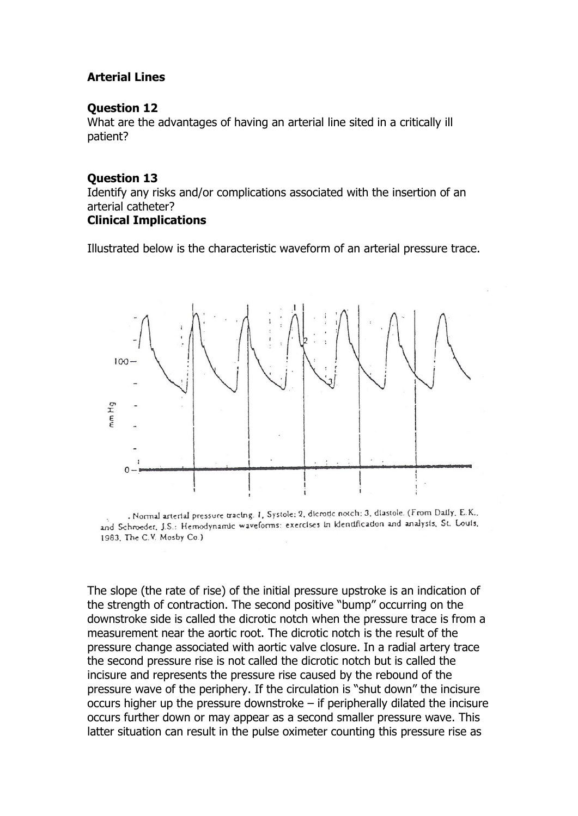# **Arterial Lines**

#### **Question 12**

What are the advantages of having an arterial line sited in a critically ill patient?

#### **Question 13**

Identify any risks and/or complications associated with the insertion of an arterial catheter?

# **Clinical Implications**

Illustrated below is the characteristic waveform of an arterial pressure trace.



. Normal arterial pressure tracing. 1, Systole: 2, dicrotic notch: 3, diastole. (From Daily, E.K., and Schroeder, J.S.: Hemodynamic waveforms: exercises in identification and analysis, St. Louis, 1983, The C.V. Mosby Co.)

The slope (the rate of rise) of the initial pressure upstroke is an indication of the strength of contraction. The second positive "bump" occurring on the downstroke side is called the dicrotic notch when the pressure trace is from a measurement near the aortic root. The dicrotic notch is the result of the pressure change associated with aortic valve closure. In a radial artery trace the second pressure rise is not called the dicrotic notch but is called the incisure and represents the pressure rise caused by the rebound of the pressure wave of the periphery. If the circulation is "shut down" the incisure occurs higher up the pressure downstroke – if peripherally dilated the incisure occurs further down or may appear as a second smaller pressure wave. This latter situation can result in the pulse oximeter counting this pressure rise as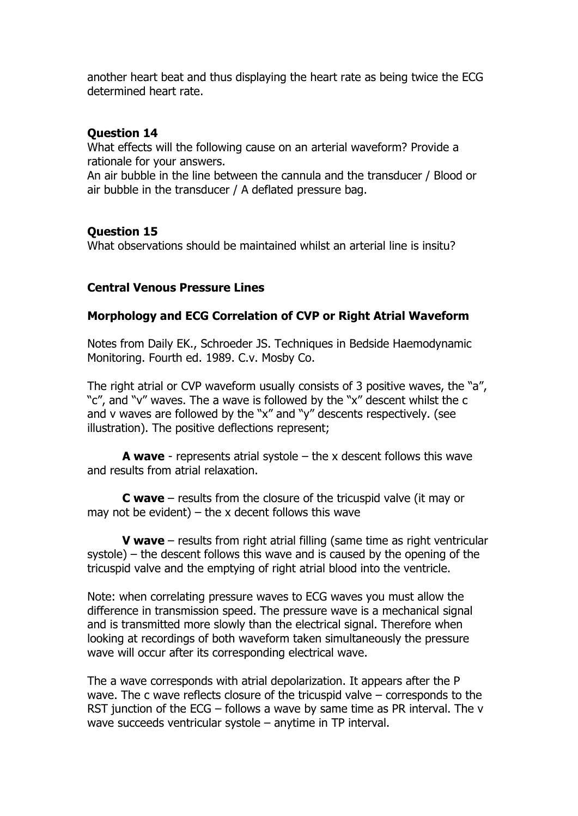another heart beat and thus displaying the heart rate as being twice the ECG determined heart rate.

### **Question 14**

What effects will the following cause on an arterial waveform? Provide a rationale for your answers.

An air bubble in the line between the cannula and the transducer / Blood or air bubble in the transducer / A deflated pressure bag.

# **Question 15**

What observations should be maintained whilst an arterial line is insitu?

### **Central Venous Pressure Lines**

#### **Morphology and ECG Correlation of CVP or Right Atrial Waveform**

Notes from Daily EK., Schroeder JS. Techniques in Bedside Haemodynamic Monitoring. Fourth ed. 1989. C.v. Mosby Co.

The right atrial or CVP waveform usually consists of 3 positive waves, the "a", "c", and "v" waves. The a wave is followed by the "x" descent whilst the c and v waves are followed by the "x" and "y" descents respectively. (see illustration). The positive deflections represent;

**A wave** - represents atrial systole – the x descent follows this wave and results from atrial relaxation.

**C wave** – results from the closure of the tricuspid valve (it may or may not be evident) – the x decent follows this wave

**V** wave – results from right atrial filling (same time as right ventricular systole) – the descent follows this wave and is caused by the opening of the tricuspid valve and the emptying of right atrial blood into the ventricle.

Note: when correlating pressure waves to ECG waves you must allow the difference in transmission speed. The pressure wave is a mechanical signal and is transmitted more slowly than the electrical signal. Therefore when looking at recordings of both waveform taken simultaneously the pressure wave will occur after its corresponding electrical wave.

The a wave corresponds with atrial depolarization. It appears after the P wave. The c wave reflects closure of the tricuspid valve – corresponds to the RST junction of the ECG – follows a wave by same time as PR interval. The v wave succeeds ventricular systole – anytime in TP interval.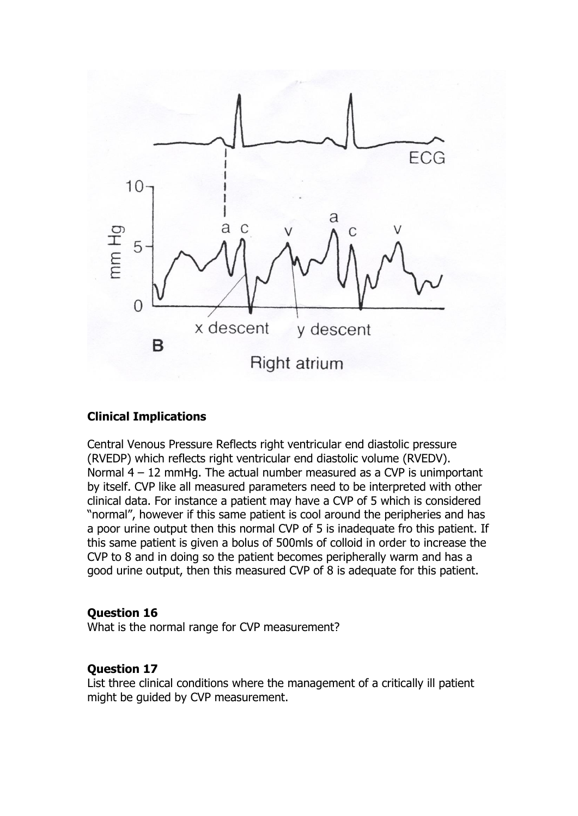

#### **Clinical Implications**

Central Venous Pressure Reflects right ventricular end diastolic pressure (RVEDP) which reflects right ventricular end diastolic volume (RVEDV). Normal 4 – 12 mmHg. The actual number measured as a CVP is unimportant by itself. CVP like all measured parameters need to be interpreted with other clinical data. For instance a patient may have a CVP of 5 which is considered "normal", however if this same patient is cool around the peripheries and has a poor urine output then this normal CVP of 5 is inadequate fro this patient. If this same patient is given a bolus of 500mls of colloid in order to increase the CVP to 8 and in doing so the patient becomes peripherally warm and has a good urine output, then this measured CVP of 8 is adequate for this patient.

#### **Question 16**

What is the normal range for CVP measurement?

#### **Question 17**

List three clinical conditions where the management of a critically ill patient might be guided by CVP measurement.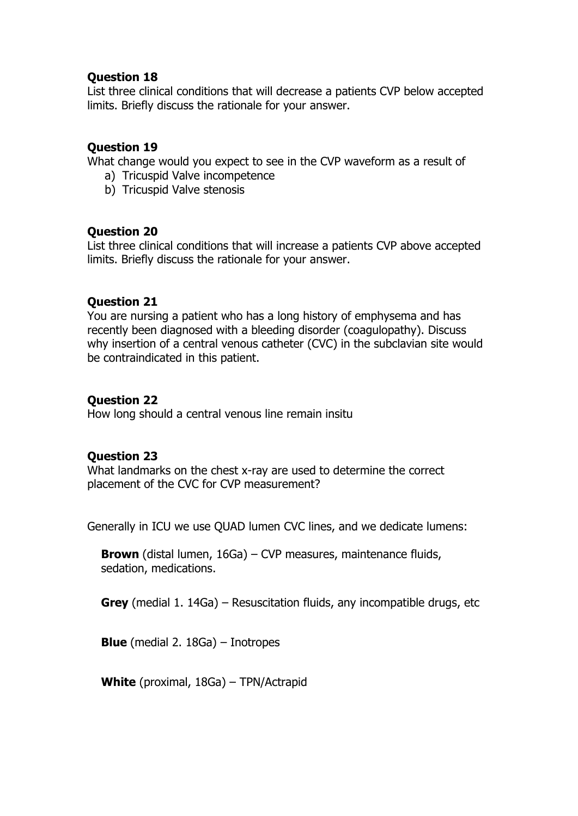List three clinical conditions that will decrease a patients CVP below accepted limits. Briefly discuss the rationale for your answer.

# **Question 19**

What change would you expect to see in the CVP waveform as a result of

- a) Tricuspid Valve incompetence
- b) Tricuspid Valve stenosis

# **Question 20**

List three clinical conditions that will increase a patients CVP above accepted limits. Briefly discuss the rationale for your answer.

# **Question 21**

You are nursing a patient who has a long history of emphysema and has recently been diagnosed with a bleeding disorder (coagulopathy). Discuss why insertion of a central venous catheter (CVC) in the subclavian site would be contraindicated in this patient.

# **Question 22**

How long should a central venous line remain insitu

# **Question 23**

What landmarks on the chest x-ray are used to determine the correct placement of the CVC for CVP measurement?

Generally in ICU we use QUAD lumen CVC lines, and we dedicate lumens:

**Brown** (distal lumen, 16Ga) – CVP measures, maintenance fluids, sedation, medications.

**Grey** (medial 1. 14Ga) – Resuscitation fluids, any incompatible drugs, etc

**Blue** (medial 2. 18Ga) – Inotropes

**White** (proximal, 18Ga) – TPN/Actrapid